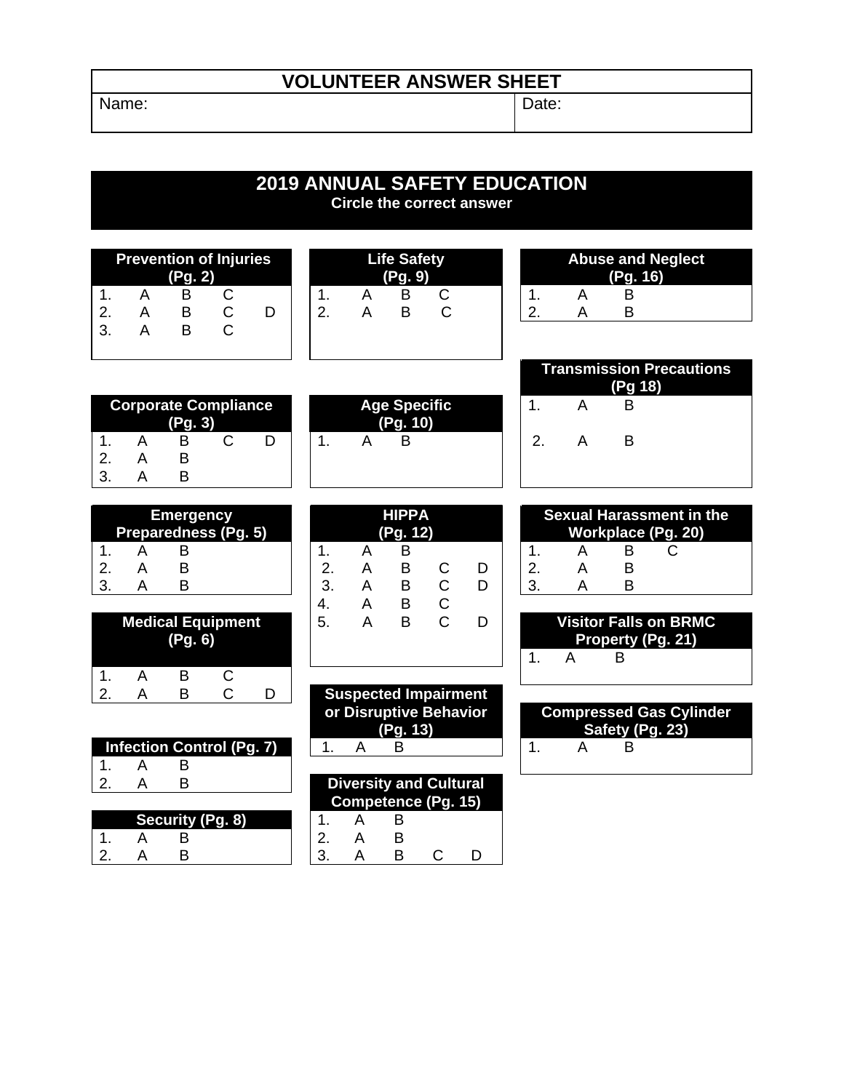## **VOLUNTEER ANSWER SHEET**

Name:  $\vert$  Date:

### **2019 ANNUAL SAFETY EDUCATION Circle the correct answer**

 **Prevention of Injuries (Pg. 2)**  1. A B C ||1. A B C ||1. A B 2. A B C D | | 2. A B C | | 2. A B 3. A B C

|          |        | <b>Life Safety</b><br>(Pg. 9) |        |  |
|----------|--------|-------------------------------|--------|--|
| 1.<br>2. | А<br>А | в<br>в                        | C<br>C |  |
|          |        |                               |        |  |

|  | <b>Abuse and Neglect</b><br>(Pg. 16) |  |
|--|--------------------------------------|--|
|  |                                      |  |
|  |                                      |  |

|  | <b>Corporate Compliance</b><br>(Pg. 3) |  |     | <b>Age Specific</b><br>(Pg. 10) | . . |  |
|--|----------------------------------------|--|-----|---------------------------------|-----|--|
|  |                                        |  | . . |                                 | ◠   |  |
|  |                                        |  |     |                                 |     |  |
|  |                                        |  |     |                                 |     |  |

|    |   | <b>Age Specific</b><br>(Pg. 10) |  |
|----|---|---------------------------------|--|
| 1. | А | в                               |  |

|    |   |         |                             |  |                                 |    | <b>Transmission Precautions</b><br>(Pg 18) |  |
|----|---|---------|-----------------------------|--|---------------------------------|----|--------------------------------------------|--|
|    |   | (Pg. 3) | <b>Corporate Compliance</b> |  | <b>Age Specific</b><br>(Pg. 10) |    |                                            |  |
| 1. |   | В       |                             |  | B                               | 2. | В                                          |  |
| 2. |   |         |                             |  |                                 |    |                                            |  |
| 3  | д |         |                             |  |                                 |    |                                            |  |

|              |   | <b>Emergency</b> | Preparedness (Pg. 5) |
|--------------|---|------------------|----------------------|
|              | д | в                |                      |
| 2.           | Д | B                |                      |
| $\mathbf{3}$ |   | R                |                      |

| <b>Medical Equipment</b><br>(Pg. 6) | . .<br>-5.                  |
|-------------------------------------|-----------------------------|
|                                     |                             |
|                                     | <b>Suspected Impairment</b> |
|                                     | .                           |

|  | Infection Control (Pg. 7) |                               |  |  |
|--|---------------------------|-------------------------------|--|--|
|  |                           |                               |  |  |
|  |                           | <b>Diversity and Cultural</b> |  |  |
|  |                           |                               |  |  |

|                                         | <b>Security (Pg. 8)</b> |  |
|-----------------------------------------|-------------------------|--|
| $\begin{array}{c} 1. \\ 2. \end{array}$ | в                       |  |
|                                         |                         |  |

| <b>Emergency</b><br>Preparedness (Pg. 5) |               |   | <b>HIPPA</b><br>(Pg. 12) |  |              | <b>Sexual Harassmen</b> | Workplace (Pg.                                      |  |
|------------------------------------------|---------------|---|--------------------------|--|--------------|-------------------------|-----------------------------------------------------|--|
| 1.<br>в                                  |               |   |                          |  |              |                         | в                                                   |  |
| 2.<br>в                                  | $\mathcal{P}$ | А |                          |  | $\mathbf{2}$ | A                       |                                                     |  |
| 3.<br>в                                  | З.            |   |                          |  | 3.           |                         |                                                     |  |
|                                          | -4.           | A |                          |  |              |                         |                                                     |  |
| <b>Medical Equipment</b><br>(Pg. 6)      | 5             |   |                          |  |              |                         | <b>Visitor Falls on B</b><br><b>Property (Pg. 2</b> |  |
|                                          |               |   |                          |  |              | $\mathbf{A}$            | $\overline{\phantom{0}}$                            |  |

|  |                                  | <b>Suspected Impairment</b> |
|--|----------------------------------|-----------------------------|
|  |                                  | or Disruptive Behavior      |
|  |                                  | (Pq. 13)                    |
|  | <b>Infection Control (Pa. 7)</b> |                             |

| 2. |  |                  | <b>Diversity and Cultural</b> |                            |  |  |  |
|----|--|------------------|-------------------------------|----------------------------|--|--|--|
|    |  |                  |                               | <b>Competence (Pg. 15)</b> |  |  |  |
|    |  | Security (Pg. 8) |                               |                            |  |  |  |
|    |  |                  |                               |                            |  |  |  |
| າ  |  |                  |                               |                            |  |  |  |

| <b>Sexual Harassment in the</b><br>Workplace (Pg. 20) |   |   |  |  |
|-------------------------------------------------------|---|---|--|--|
|                                                       | А | R |  |  |
| 2.                                                    | А | R |  |  |
| 3.                                                    |   | R |  |  |

| . . |  |  |                              |  |
|-----|--|--|------------------------------|--|
|     |  |  | <b>Visitor Falls on BRMC</b> |  |
|     |  |  | <b>Property (Pg. 21)</b>     |  |
|     |  |  |                              |  |
|     |  |  |                              |  |

| <b>Compressed Gas Cylinder</b><br>Safety (Pg. 23) |   |   |  |  |
|---------------------------------------------------|---|---|--|--|
| 1                                                 | А | R |  |  |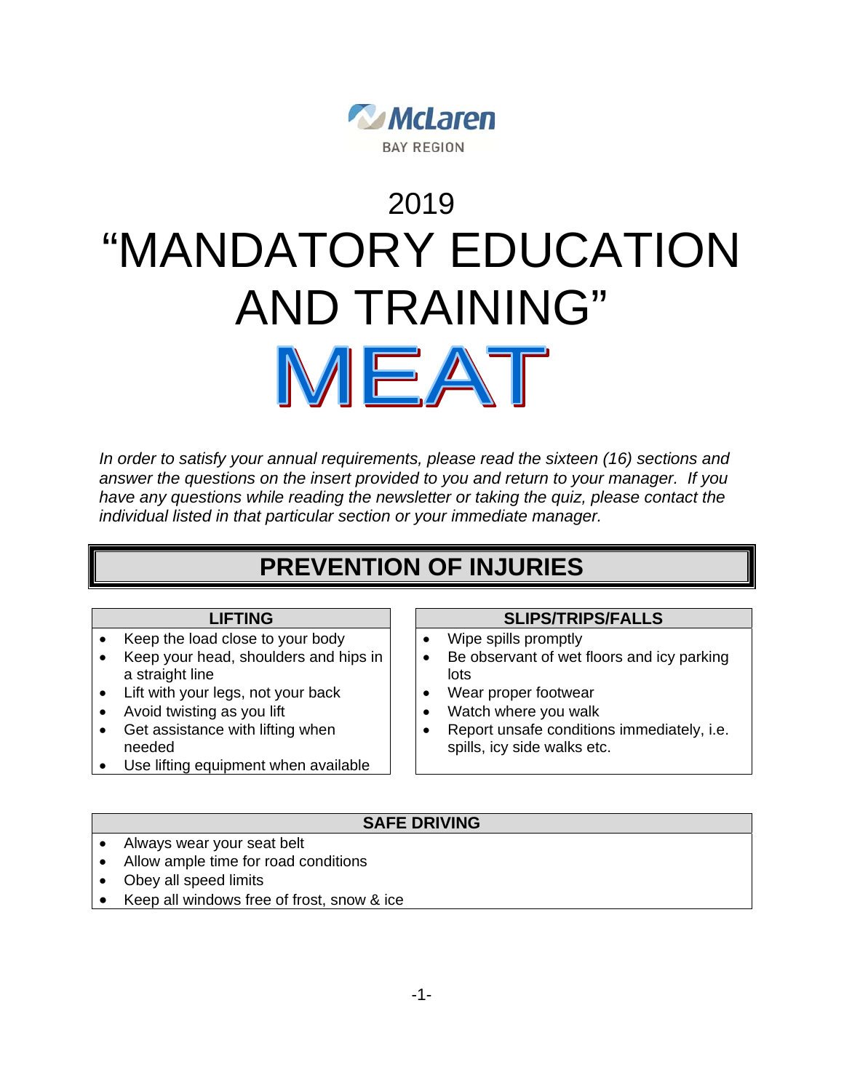

# 2019 "MANDATORY EDUCATION AND TRAINING"

MEAT

*In order to satisfy your annual requirements, please read the sixteen (16) sections and answer the questions on the insert provided to you and return to your manager. If you have any questions while reading the newsletter or taking the quiz, please contact the individual listed in that particular section or your immediate manager.* 

## **PREVENTION OF INJURIES**

- Keep the load close to your body
- Keep your head, shoulders and hips in a straight line
- Lift with your legs, not your back
- Avoid twisting as you lift
- Get assistance with lifting when needed
- Use lifting equipment when available

## **LIFTING SLIPS/TRIPS/FALLS**

- Wipe spills promptly
- Be observant of wet floors and icy parking lots
- Wear proper footwear
- Watch where you walk
- Report unsafe conditions immediately, i.e. spills, icy side walks etc.

## **SAFE DRIVING**

- Always wear your seat belt
- Allow ample time for road conditions
- Obey all speed limits
- Keep all windows free of frost, snow & ice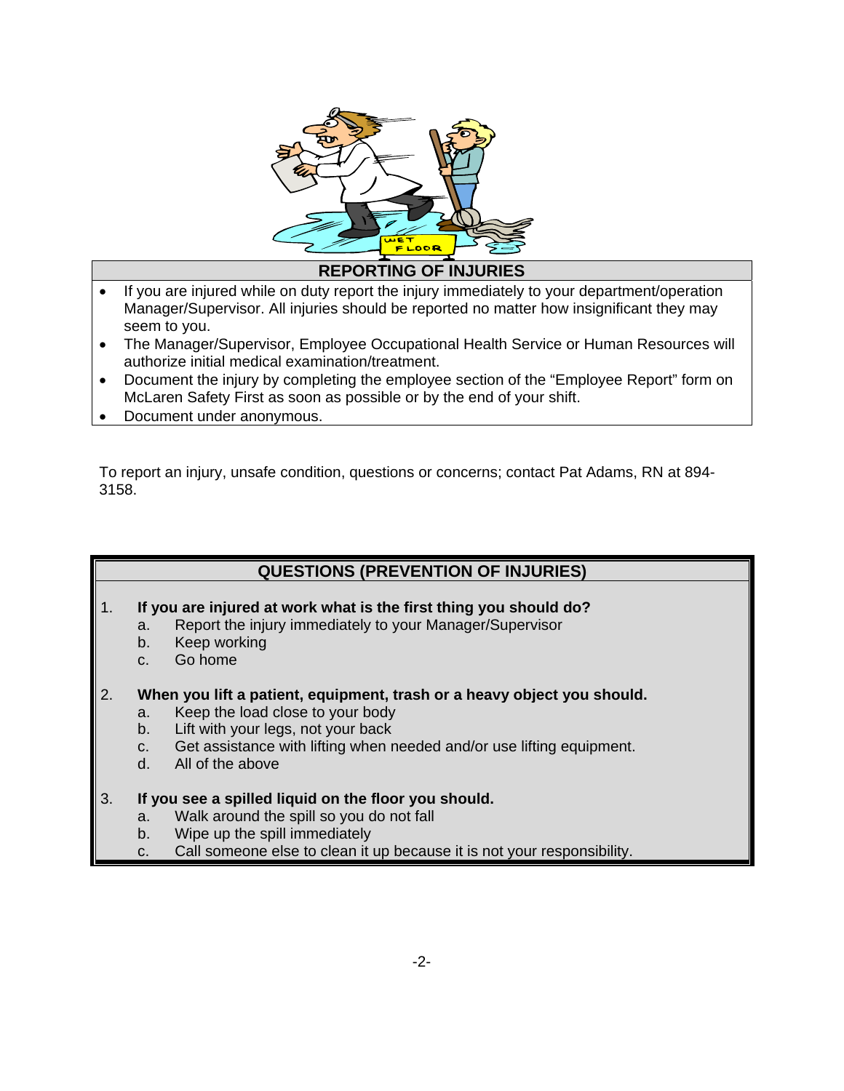

**REPORTING OF INJURIES**

- If you are injured while on duty report the injury immediately to your department/operation Manager/Supervisor. All injuries should be reported no matter how insignificant they may seem to you.
- The Manager/Supervisor, Employee Occupational Health Service or Human Resources will authorize initial medical examination/treatment.
- Document the injury by completing the employee section of the "Employee Report" form on McLaren Safety First as soon as possible or by the end of your shift.
- Document under anonymous.

To report an injury, unsafe condition, questions or concerns; contact Pat Adams, RN at 894- 3158.

## **QUESTIONS (PREVENTION OF INJURIES)**

- 1. **If you are injured at work what is the first thing you should do?** 
	- a. Report the injury immediately to your Manager/Supervisor
	- b. Keep working
	- c. Go home
- 2. **When you lift a patient, equipment, trash or a heavy object you should.** 
	- a. Keep the load close to your body
	- b. Lift with your legs, not your back
	- c. Get assistance with lifting when needed and/or use lifting equipment.
	- d. All of the above
- 3. **If you see a spilled liquid on the floor you should.** 
	- a. Walk around the spill so you do not fall
	- b. Wipe up the spill immediately
	- c. Call someone else to clean it up because it is not your responsibility.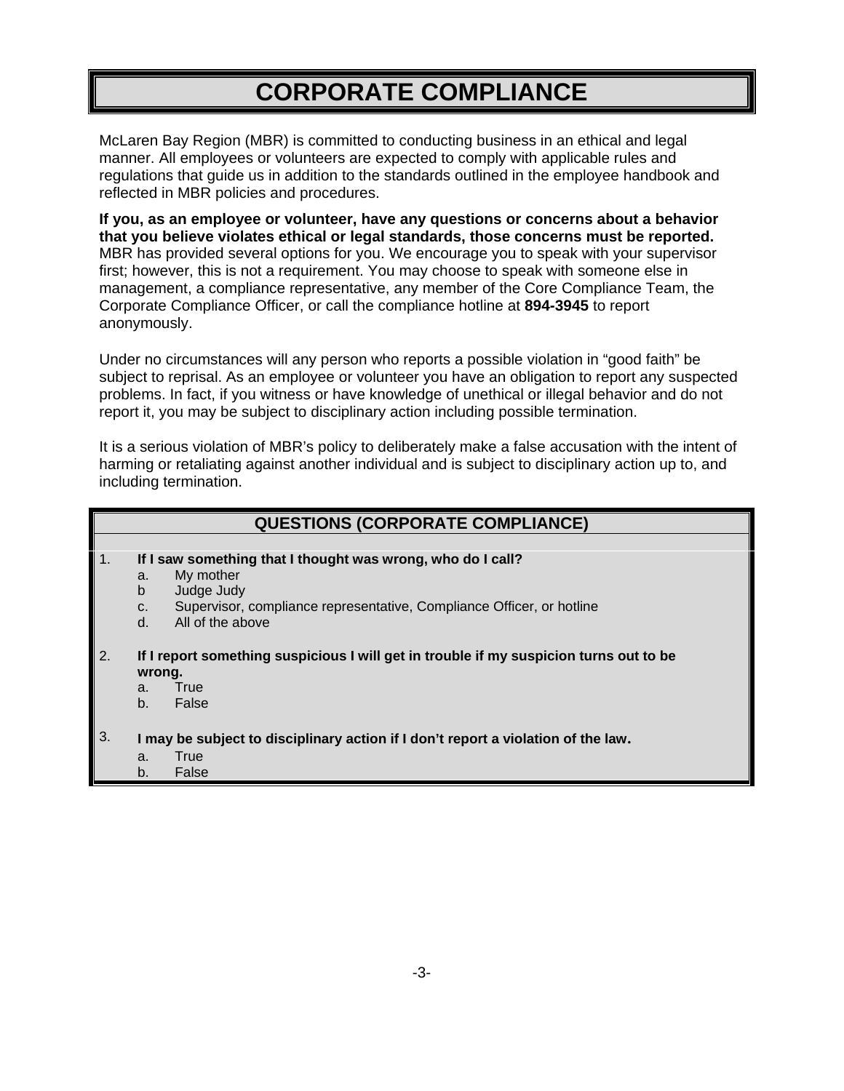## **CORPORATE COMPLIANCE**

McLaren Bay Region (MBR) is committed to conducting business in an ethical and legal manner. All employees or volunteers are expected to comply with applicable rules and regulations that guide us in addition to the standards outlined in the employee handbook and reflected in MBR policies and procedures.

**If you, as an employee or volunteer, have any questions or concerns about a behavior that you believe violates ethical or legal standards, those concerns must be reported.** MBR has provided several options for you. We encourage you to speak with your supervisor first; however, this is not a requirement. You may choose to speak with someone else in management, a compliance representative, any member of the Core Compliance Team, the Corporate Compliance Officer, or call the compliance hotline at **894-3945** to report anonymously.

Under no circumstances will any person who reports a possible violation in "good faith" be subject to reprisal. As an employee or volunteer you have an obligation to report any suspected problems. In fact, if you witness or have knowledge of unethical or illegal behavior and do not report it, you may be subject to disciplinary action including possible termination.

It is a serious violation of MBR's policy to deliberately make a false accusation with the intent of harming or retaliating against another individual and is subject to disciplinary action up to, and including termination.

|                | <b>QUESTIONS (CORPORATE COMPLIANCE)</b>                                                                                                                                                                    |  |  |  |  |
|----------------|------------------------------------------------------------------------------------------------------------------------------------------------------------------------------------------------------------|--|--|--|--|
| $\mathbf{1}$ . | If I saw something that I thought was wrong, who do I call?<br>My mother<br>a.<br>b<br>Judge Judy<br>Supervisor, compliance representative, Compliance Officer, or hotline<br>C.<br>d.<br>All of the above |  |  |  |  |
| 2.             | If I report something suspicious I will get in trouble if my suspicion turns out to be<br>wrong.<br>True<br>a.<br>False<br>b.                                                                              |  |  |  |  |
| 3.             | I may be subject to disciplinary action if I don't report a violation of the law.                                                                                                                          |  |  |  |  |

- a. True
- b. False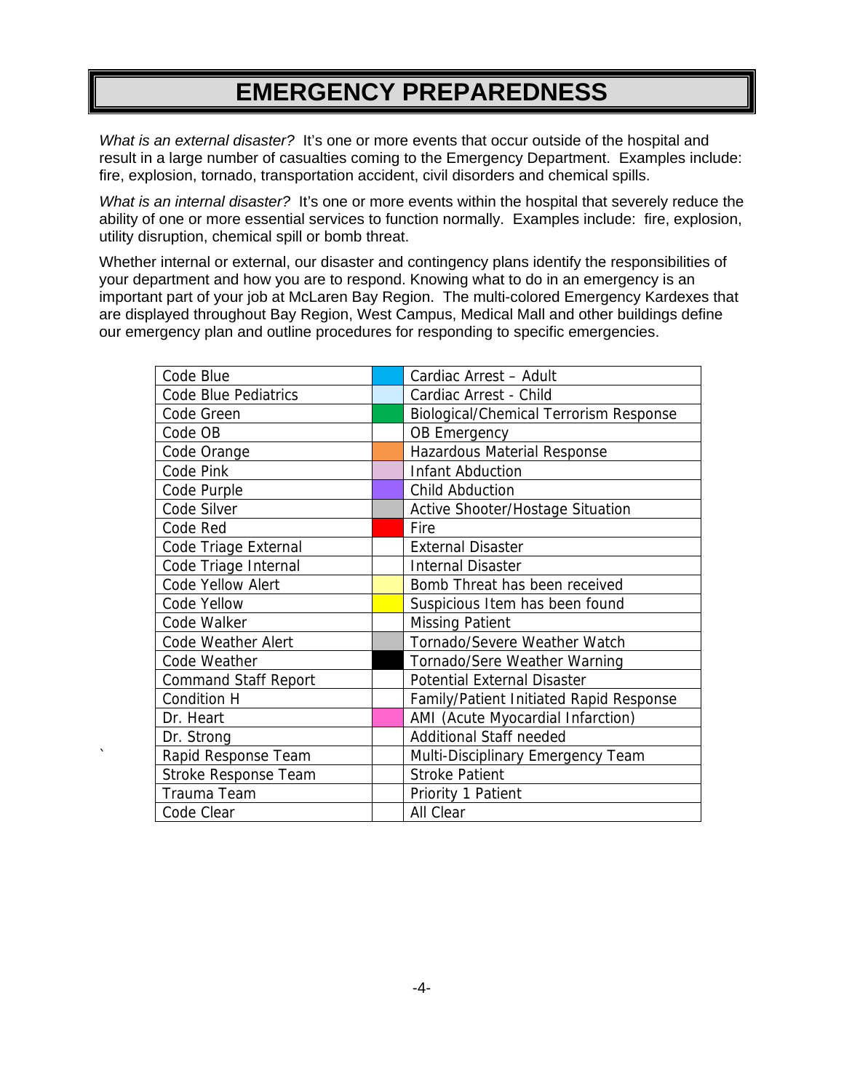## **EMERGENCY PREPAREDNESS**

*What is an external disaster?* It's one or more events that occur outside of the hospital and result in a large number of casualties coming to the Emergency Department. Examples include: fire, explosion, tornado, transportation accident, civil disorders and chemical spills.

*What is an internal disaster?* It's one or more events within the hospital that severely reduce the ability of one or more essential services to function normally. Examples include: fire, explosion, utility disruption, chemical spill or bomb threat.

Whether internal or external, our disaster and contingency plans identify the responsibilities of your department and how you are to respond. Knowing what to do in an emergency is an important part of your job at McLaren Bay Region. The multi-colored Emergency Kardexes that are displayed throughout Bay Region, West Campus, Medical Mall and other buildings define our emergency plan and outline procedures for responding to specific emergencies.

| Code Blue                   | Cardiac Arrest - Adult                  |
|-----------------------------|-----------------------------------------|
| Code Blue Pediatrics        | Cardiac Arrest - Child                  |
| Code Green                  | Biological/Chemical Terrorism Response  |
| Code OB                     | OB Emergency                            |
| Code Orange                 | Hazardous Material Response             |
| Code Pink                   | <b>Infant Abduction</b>                 |
| Code Purple                 | <b>Child Abduction</b>                  |
| Code Silver                 | Active Shooter/Hostage Situation        |
| Code Red                    | Fire                                    |
| Code Triage External        | <b>External Disaster</b>                |
| Code Triage Internal        | <b>Internal Disaster</b>                |
| <b>Code Yellow Alert</b>    | Bomb Threat has been received           |
| Code Yellow                 | Suspicious Item has been found          |
| Code Walker                 | <b>Missing Patient</b>                  |
| <b>Code Weather Alert</b>   | Tornado/Severe Weather Watch            |
| Code Weather                | Tornado/Sere Weather Warning            |
| <b>Command Staff Report</b> | <b>Potential External Disaster</b>      |
| <b>Condition H</b>          | Family/Patient Initiated Rapid Response |
| Dr. Heart                   | AMI (Acute Myocardial Infarction)       |
| Dr. Strong                  | <b>Additional Staff needed</b>          |
| Rapid Response Team         | Multi-Disciplinary Emergency Team       |
| Stroke Response Team        | <b>Stroke Patient</b>                   |
| Trauma Team                 | Priority 1 Patient                      |
| Code Clear                  | All Clear                               |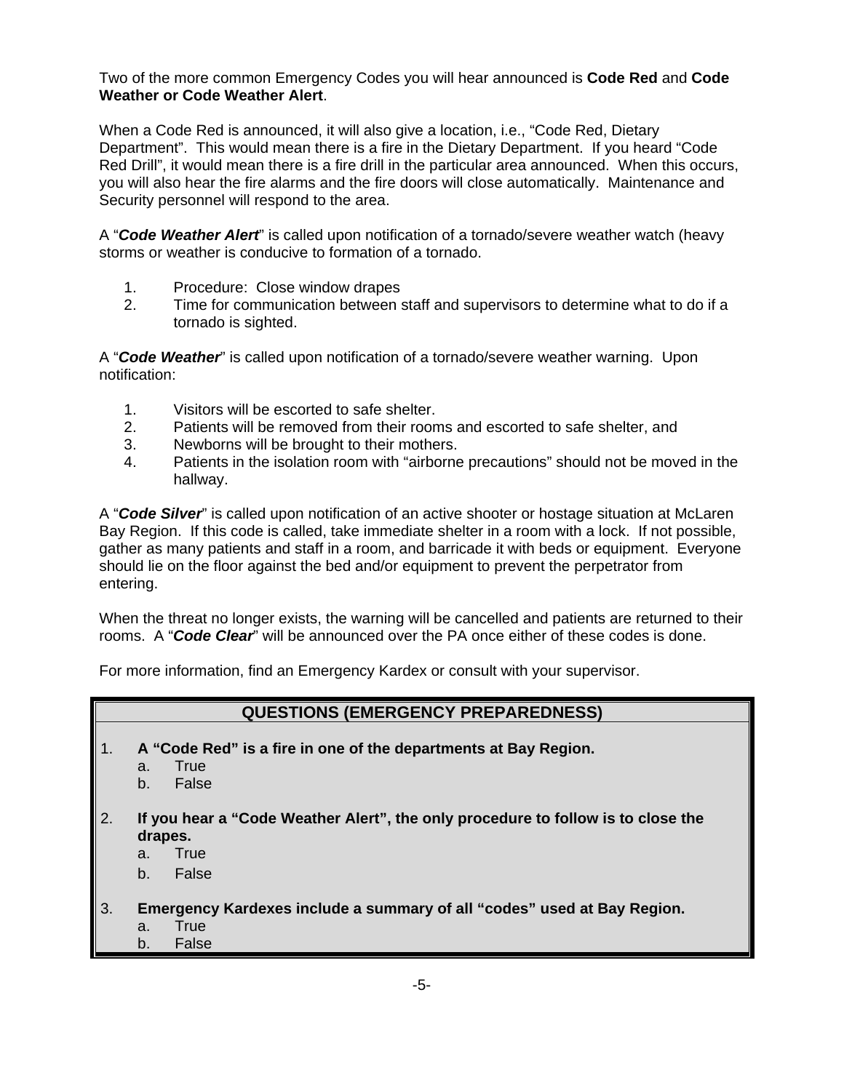Two of the more common Emergency Codes you will hear announced is **Code Red** and **Code Weather or Code Weather Alert**.

When a Code Red is announced, it will also give a location, i.e., "Code Red, Dietary Department". This would mean there is a fire in the Dietary Department. If you heard "Code Red Drill", it would mean there is a fire drill in the particular area announced. When this occurs, you will also hear the fire alarms and the fire doors will close automatically. Maintenance and Security personnel will respond to the area.

A "*Code Weather Alert*" is called upon notification of a tornado/severe weather watch (heavy storms or weather is conducive to formation of a tornado.

- 1. Procedure: Close window drapes
- 2. Time for communication between staff and supervisors to determine what to do if a tornado is sighted.

A "*Code Weather*" is called upon notification of a tornado/severe weather warning. Upon notification:

- 1. Visitors will be escorted to safe shelter.
- 2. Patients will be removed from their rooms and escorted to safe shelter, and
- 3. Newborns will be brought to their mothers.
- 4. Patients in the isolation room with "airborne precautions" should not be moved in the hallway.

A "*Code Silver*" is called upon notification of an active shooter or hostage situation at McLaren Bay Region. If this code is called, take immediate shelter in a room with a lock. If not possible, gather as many patients and staff in a room, and barricade it with beds or equipment. Everyone should lie on the floor against the bed and/or equipment to prevent the perpetrator from entering.

When the threat no longer exists, the warning will be cancelled and patients are returned to their rooms. A "*Code Clear*" will be announced over the PA once either of these codes is done.

For more information, find an Emergency Kardex or consult with your supervisor.

#### **QUESTIONS (EMERGENCY PREPAREDNESS)**

- 1. **A "Code Red" is a fire in one of the departments at Bay Region.** 
	- a. True
	- b. False
- 2. **If you hear a "Code Weather Alert", the only procedure to follow is to close the drapes.** 
	- a. True
	- b. False
- 3. **Emergency Kardexes include a summary of all "codes" used at Bay Region.** 
	- a. True
		- b. False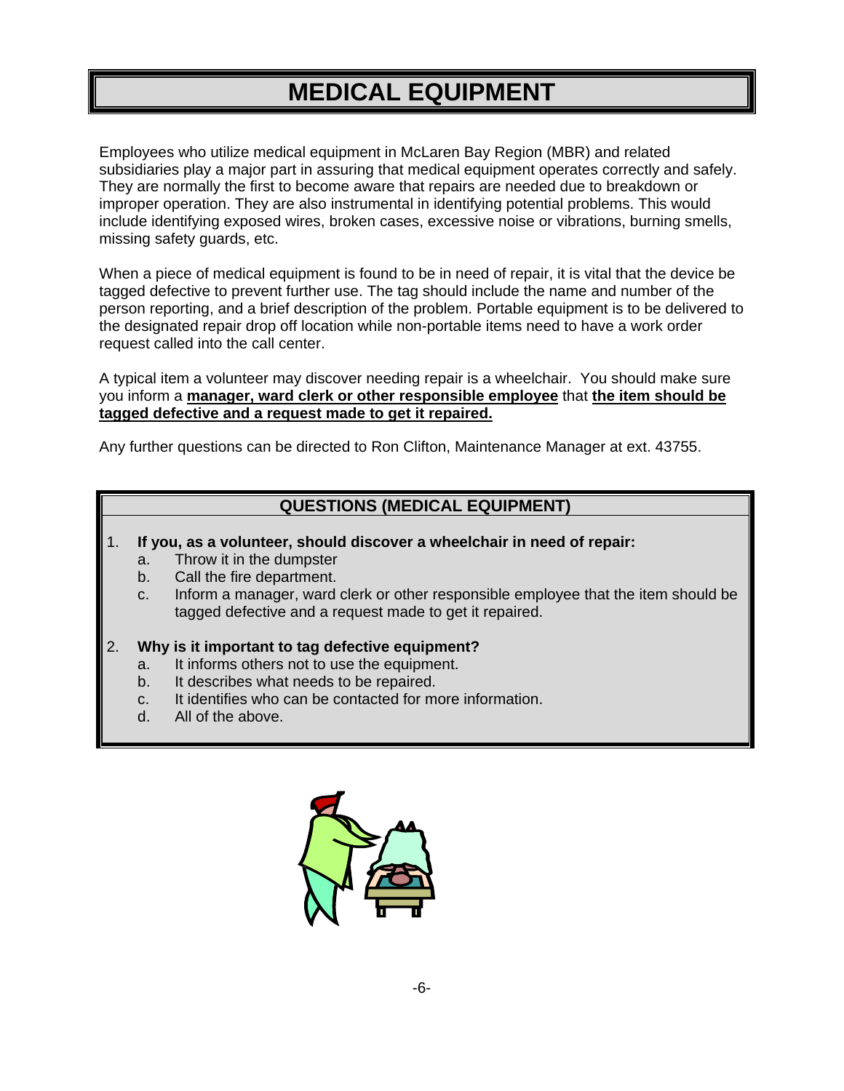## **MEDICAL EQUIPMENT**

Employees who utilize medical equipment in McLaren Bay Region (MBR) and related subsidiaries play a major part in assuring that medical equipment operates correctly and safely. They are normally the first to become aware that repairs are needed due to breakdown or improper operation. They are also instrumental in identifying potential problems. This would include identifying exposed wires, broken cases, excessive noise or vibrations, burning smells, missing safety guards, etc.

When a piece of medical equipment is found to be in need of repair, it is vital that the device be tagged defective to prevent further use. The tag should include the name and number of the person reporting, and a brief description of the problem. Portable equipment is to be delivered to the designated repair drop off location while non-portable items need to have a work order request called into the call center.

A typical item a volunteer may discover needing repair is a wheelchair. You should make sure you inform a **manager, ward clerk or other responsible employee** that **the item should be tagged defective and a request made to get it repaired.** 

Any further questions can be directed to Ron Clifton, Maintenance Manager at ext. 43755.

## **QUESTIONS (MEDICAL EQUIPMENT)**

- 1. **If you, as a volunteer, should discover a wheelchair in need of repair:** 
	- a. Throw it in the dumpster
	- b. Call the fire department.
	- c. Inform a manager, ward clerk or other responsible employee that the item should be tagged defective and a request made to get it repaired.

#### 2. **Why is it important to tag defective equipment?**

- a. It informs others not to use the equipment.
- b. It describes what needs to be repaired.
- c. It identifies who can be contacted for more information.
- d. All of the above.

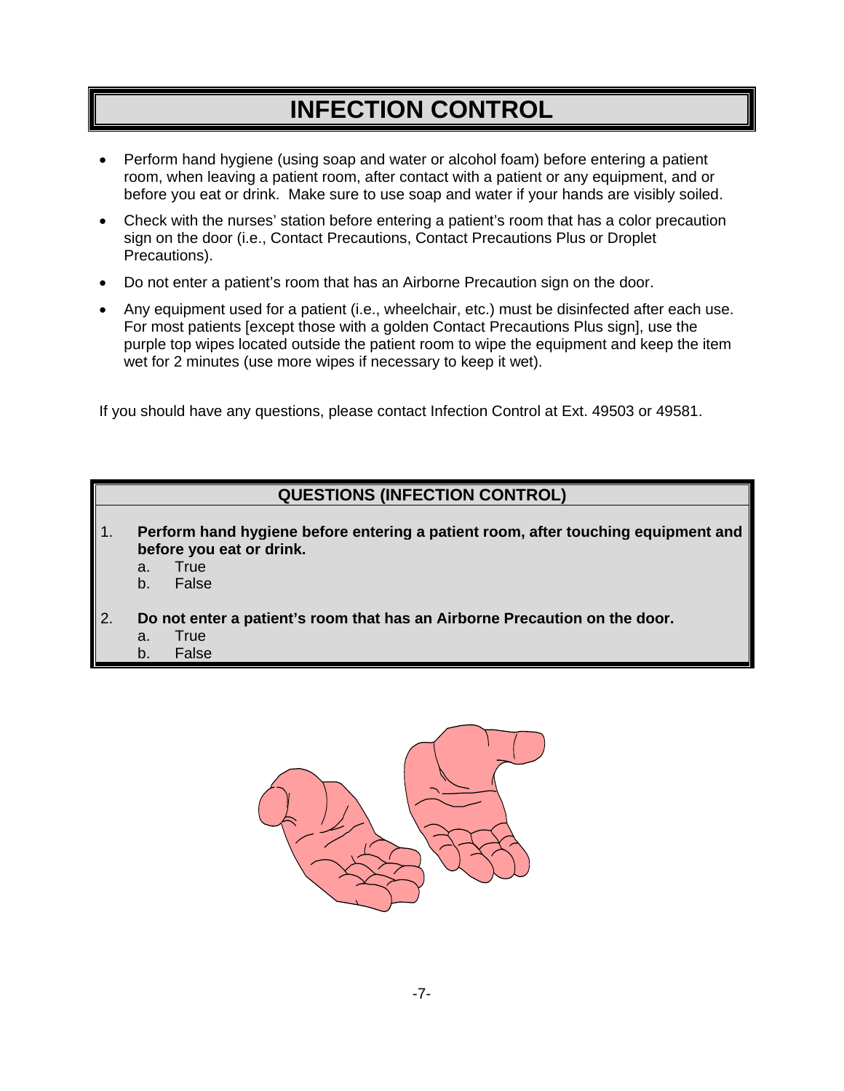## **INFECTION CONTROL**

- Perform hand hygiene (using soap and water or alcohol foam) before entering a patient room, when leaving a patient room, after contact with a patient or any equipment, and or before you eat or drink. Make sure to use soap and water if your hands are visibly soiled.
- Check with the nurses' station before entering a patient's room that has a color precaution sign on the door (i.e., Contact Precautions, Contact Precautions Plus or Droplet Precautions).
- Do not enter a patient's room that has an Airborne Precaution sign on the door.
- Any equipment used for a patient (i.e., wheelchair, etc.) must be disinfected after each use. For most patients [except those with a golden Contact Precautions Plus sign], use the purple top wipes located outside the patient room to wipe the equipment and keep the item wet for 2 minutes (use more wipes if necessary to keep it wet).

If you should have any questions, please contact Infection Control at Ext. 49503 or 49581.

## **QUESTIONS (INFECTION CONTROL)**

- 1. **Perform hand hygiene before entering a patient room, after touching equipment and before you eat or drink.** 
	- a. True
	- b. False
- 2. **Do not enter a patient's room that has an Airborne Precaution on the door.** 
	- a. True
	- b. False

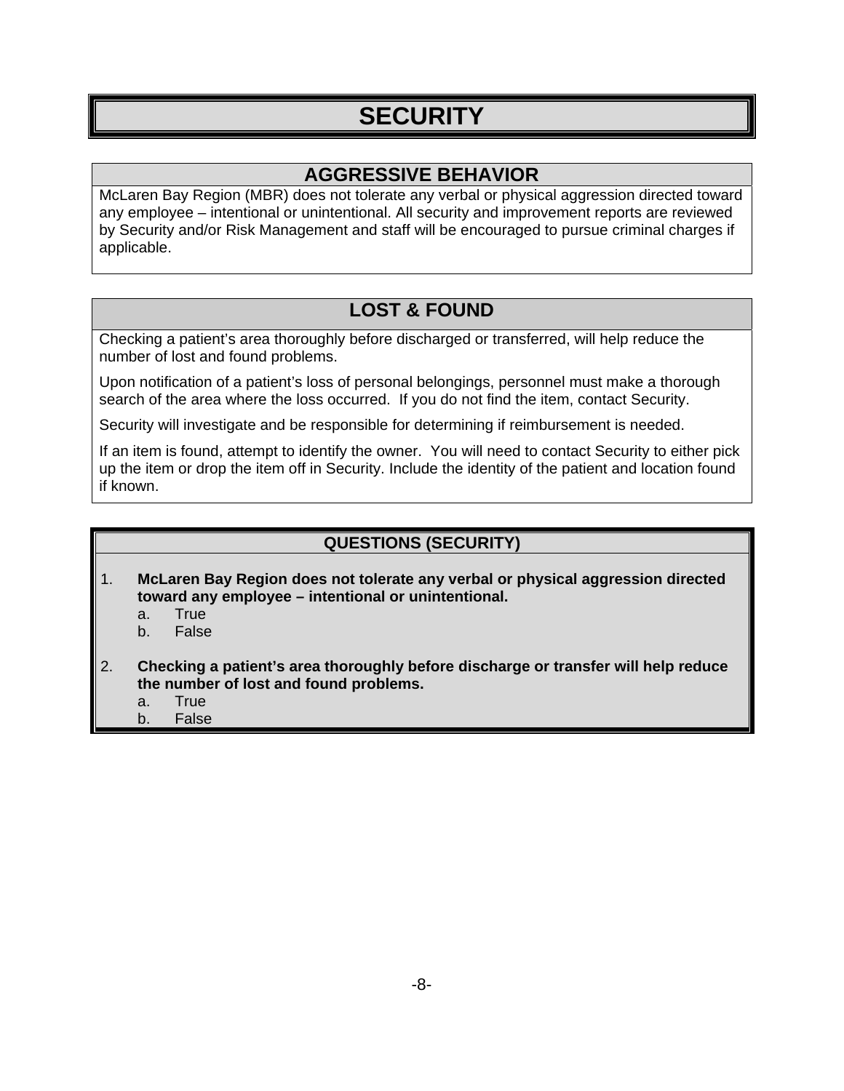## **SECURITY**

## **AGGRESSIVE BEHAVIOR**

McLaren Bay Region (MBR) does not tolerate any verbal or physical aggression directed toward any employee – intentional or unintentional. All security and improvement reports are reviewed by Security and/or Risk Management and staff will be encouraged to pursue criminal charges if applicable.

## **LOST & FOUND**

Checking a patient's area thoroughly before discharged or transferred, will help reduce the number of lost and found problems.

Upon notification of a patient's loss of personal belongings, personnel must make a thorough search of the area where the loss occurred. If you do not find the item, contact Security.

Security will investigate and be responsible for determining if reimbursement is needed.

If an item is found, attempt to identify the owner. You will need to contact Security to either pick up the item or drop the item off in Security. Include the identity of the patient and location found if known.

## **QUESTIONS (SECURITY)**

- 1. **McLaren Bay Region does not tolerate any verbal or physical aggression directed toward any employee – intentional or unintentional.** 
	- a. True
	- b. False
- 2. **Checking a patient's area thoroughly before discharge or transfer will help reduce the number of lost and found problems.** 
	- a. True
	- b. False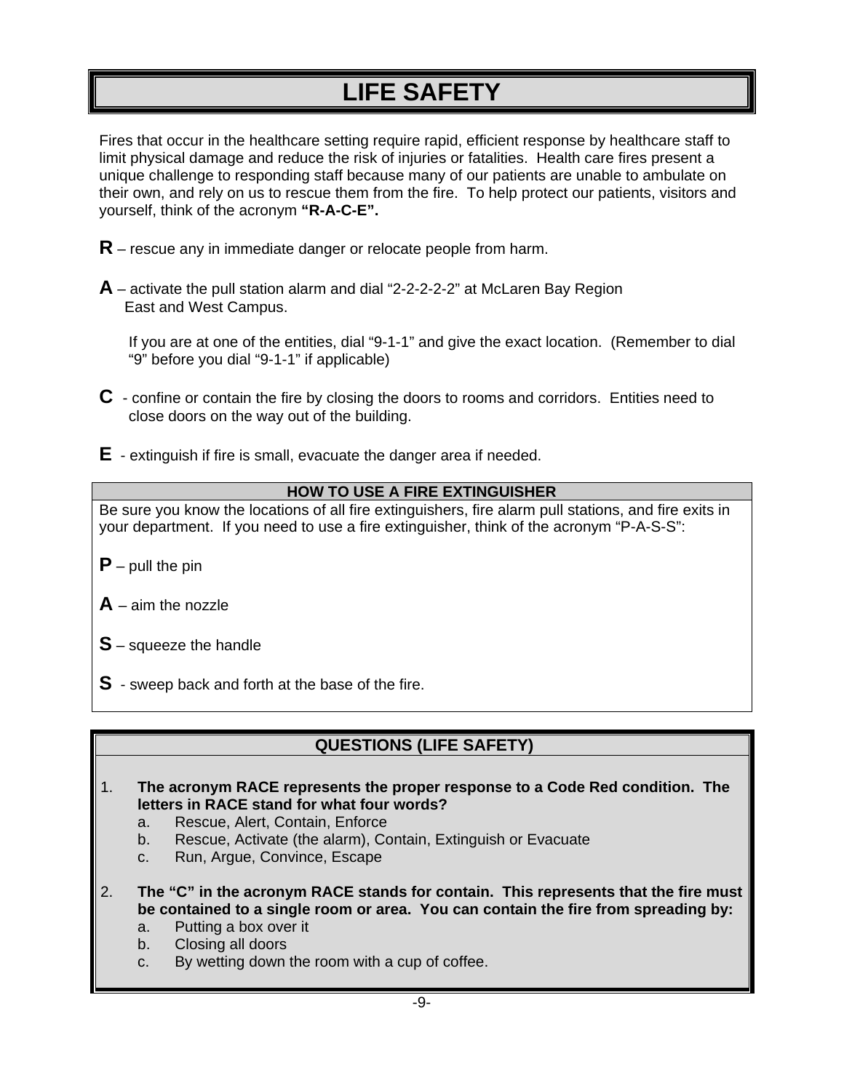## **LIFE SAFETY**

Fires that occur in the healthcare setting require rapid, efficient response by healthcare staff to limit physical damage and reduce the risk of injuries or fatalities. Health care fires present a unique challenge to responding staff because many of our patients are unable to ambulate on their own, and rely on us to rescue them from the fire. To help protect our patients, visitors and yourself, think of the acronym **"R-A-C-E".**

- **R** rescue any in immediate danger or relocate people from harm.
- **A** activate the pull station alarm and dial "2-2-2-2-2" at McLaren Bay Region East and West Campus.

 If you are at one of the entities, dial "9-1-1" and give the exact location. (Remember to dial "9" before you dial "9-1-1" if applicable)

- **C**  confine or contain the fire by closing the doors to rooms and corridors. Entities need to close doors on the way out of the building.
- **E** extinguish if fire is small, evacuate the danger area if needed.

#### **HOW TO USE A FIRE EXTINGUISHER**

Be sure you know the locations of all fire extinguishers, fire alarm pull stations, and fire exits in your department. If you need to use a fire extinguisher, think of the acronym "P-A-S-S":

- **P** pull the pin
- **A** aim the nozzle
- **S** squeeze the handle
- **S** sweep back and forth at the base of the fire.

## **QUESTIONS (LIFE SAFETY)**

- 1. **The acronym RACE represents the proper response to a Code Red condition. The letters in RACE stand for what four words?** 
	- a. Rescue, Alert, Contain, Enforce
	- b. Rescue, Activate (the alarm), Contain, Extinguish or Evacuate
	- c. Run, Argue, Convince, Escape
- 2. **The "C" in the acronym RACE stands for contain. This represents that the fire must be contained to a single room or area. You can contain the fire from spreading by:** 
	- a. Putting a box over it
	- b. Closing all doors
	- c. By wetting down the room with a cup of coffee.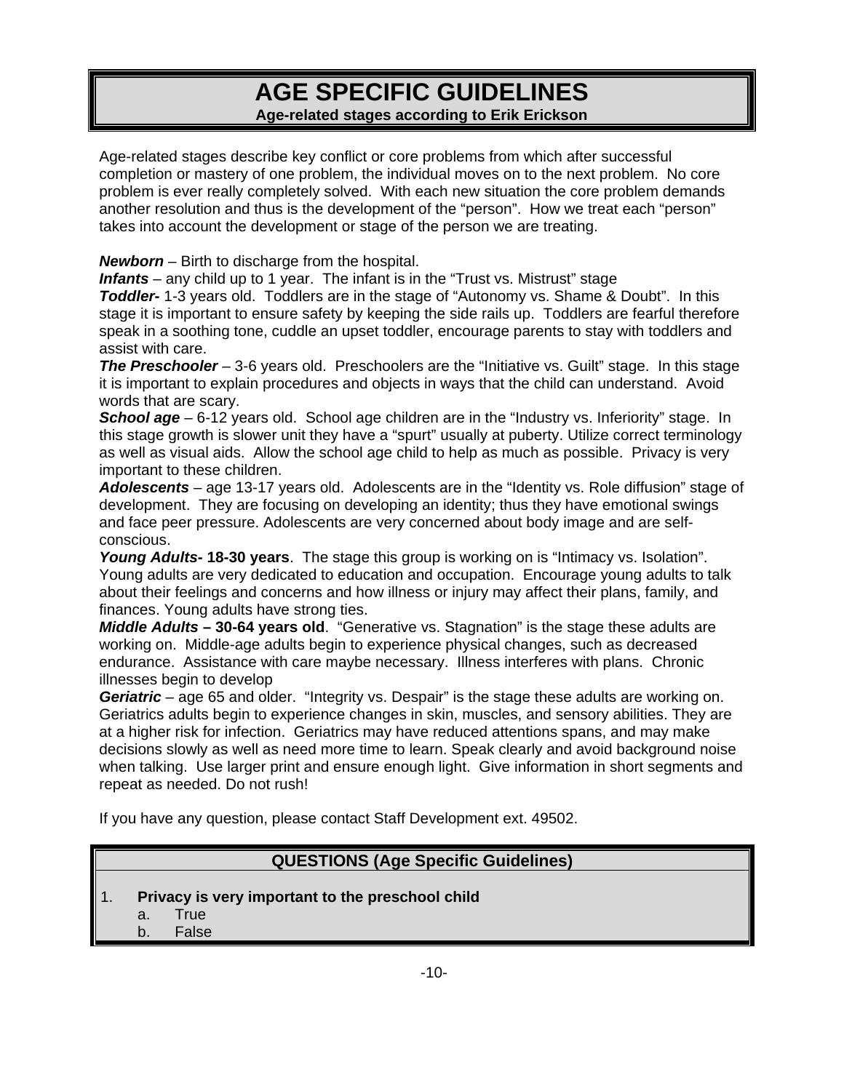## **AGE SPECIFIC GUIDELINES Age-related stages according to Erik Erickson**

Age-related stages describe key conflict or core problems from which after successful completion or mastery of one problem, the individual moves on to the next problem. No core problem is ever really completely solved. With each new situation the core problem demands another resolution and thus is the development of the "person". How we treat each "person" takes into account the development or stage of the person we are treating.

*Newborn* – Birth to discharge from the hospital.

*Infants* – any child up to 1 year. The infant is in the "Trust vs. Mistrust" stage

**Toddler** 1-3 years old. Toddlers are in the stage of "Autonomy vs. Shame & Doubt". In this stage it is important to ensure safety by keeping the side rails up. Toddlers are fearful therefore speak in a soothing tone, cuddle an upset toddler, encourage parents to stay with toddlers and assist with care.

**The Preschooler** – 3-6 years old. Preschoolers are the "Initiative vs. Guilt" stage. In this stage it is important to explain procedures and objects in ways that the child can understand. Avoid words that are scary.

*School age* – 6-12 years old. School age children are in the "Industry vs. Inferiority" stage. In this stage growth is slower unit they have a "spurt" usually at puberty. Utilize correct terminology as well as visual aids. Allow the school age child to help as much as possible. Privacy is very important to these children.

*Adolescents* – age 13-17 years old. Adolescents are in the "Identity vs. Role diffusion" stage of development. They are focusing on developing an identity; thus they have emotional swings and face peer pressure. Adolescents are very concerned about body image and are selfconscious.

*Young Adults***- 18-30 years**. The stage this group is working on is "Intimacy vs. Isolation". Young adults are very dedicated to education and occupation. Encourage young adults to talk about their feelings and concerns and how illness or injury may affect their plans, family, and finances. Young adults have strong ties.

*Middle Adults* **– 30-64 years old**. "Generative vs. Stagnation" is the stage these adults are working on. Middle-age adults begin to experience physical changes, such as decreased endurance. Assistance with care maybe necessary. Illness interferes with plans. Chronic illnesses begin to develop

*Geriatric* – age 65 and older. "Integrity vs. Despair" is the stage these adults are working on. Geriatrics adults begin to experience changes in skin, muscles, and sensory abilities. They are at a higher risk for infection. Geriatrics may have reduced attentions spans, and may make decisions slowly as well as need more time to learn. Speak clearly and avoid background noise when talking. Use larger print and ensure enough light. Give information in short segments and repeat as needed. Do not rush!

If you have any question, please contact Staff Development ext. 49502.

## **QUESTIONS (Age Specific Guidelines)**

- 1. **Privacy is very important to the preschool child** 
	- a. True
	- b. False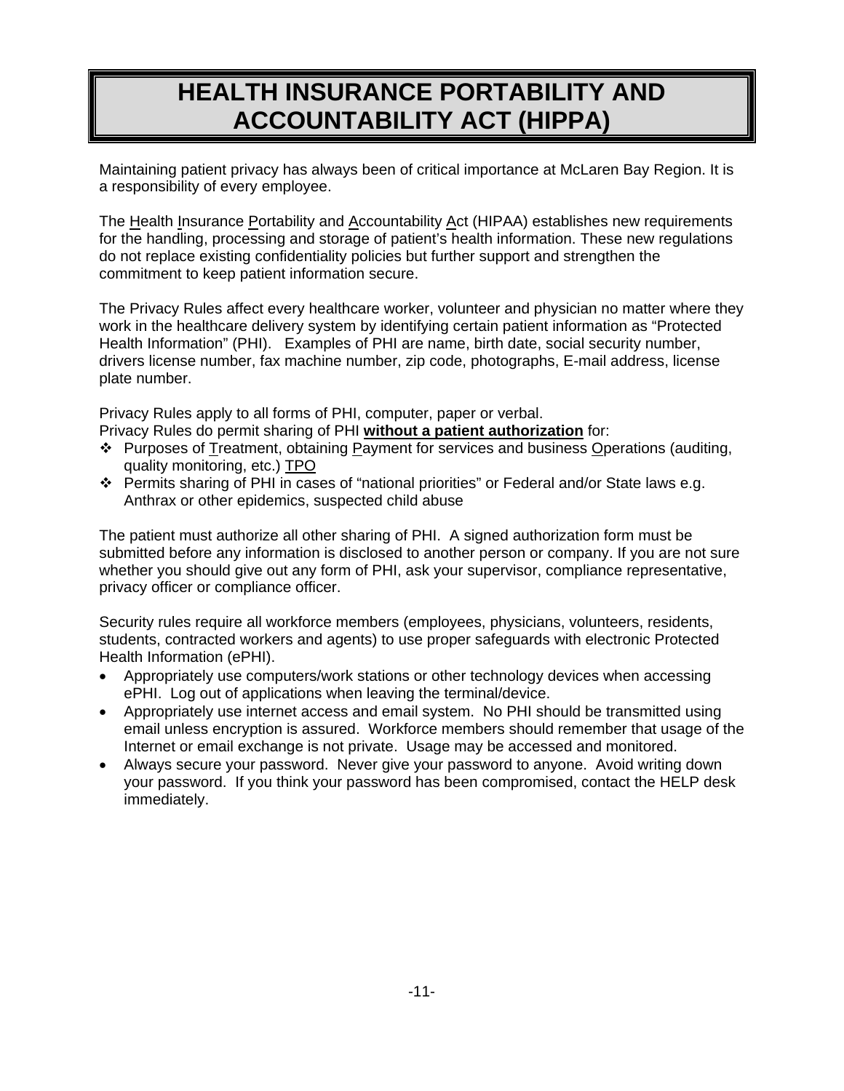## **HEALTH INSURANCE PORTABILITY AND ACCOUNTABILITY ACT (HIPPA)**

Maintaining patient privacy has always been of critical importance at McLaren Bay Region. It is a responsibility of every employee.

The Health Insurance Portability and Accountability Act (HIPAA) establishes new requirements for the handling, processing and storage of patient's health information. These new regulations do not replace existing confidentiality policies but further support and strengthen the commitment to keep patient information secure.

The Privacy Rules affect every healthcare worker, volunteer and physician no matter where they work in the healthcare delivery system by identifying certain patient information as "Protected Health Information" (PHI). Examples of PHI are name, birth date, social security number, drivers license number, fax machine number, zip code, photographs, E-mail address, license plate number.

Privacy Rules apply to all forms of PHI, computer, paper or verbal.

Privacy Rules do permit sharing of PHI **without a patient authorization** for:

- Purposes of Treatment, obtaining Payment for services and business Operations (auditing, quality monitoring, etc.) TPO
- Permits sharing of PHI in cases of "national priorities" or Federal and/or State laws e.g. Anthrax or other epidemics, suspected child abuse

The patient must authorize all other sharing of PHI. A signed authorization form must be submitted before any information is disclosed to another person or company. If you are not sure whether you should give out any form of PHI, ask your supervisor, compliance representative, privacy officer or compliance officer.

Security rules require all workforce members (employees, physicians, volunteers, residents, students, contracted workers and agents) to use proper safeguards with electronic Protected Health Information (ePHI).

- Appropriately use computers/work stations or other technology devices when accessing ePHI. Log out of applications when leaving the terminal/device.
- Appropriately use internet access and email system. No PHI should be transmitted using email unless encryption is assured. Workforce members should remember that usage of the Internet or email exchange is not private. Usage may be accessed and monitored.
- Always secure your password. Never give your password to anyone. Avoid writing down your password. If you think your password has been compromised, contact the HELP desk immediately.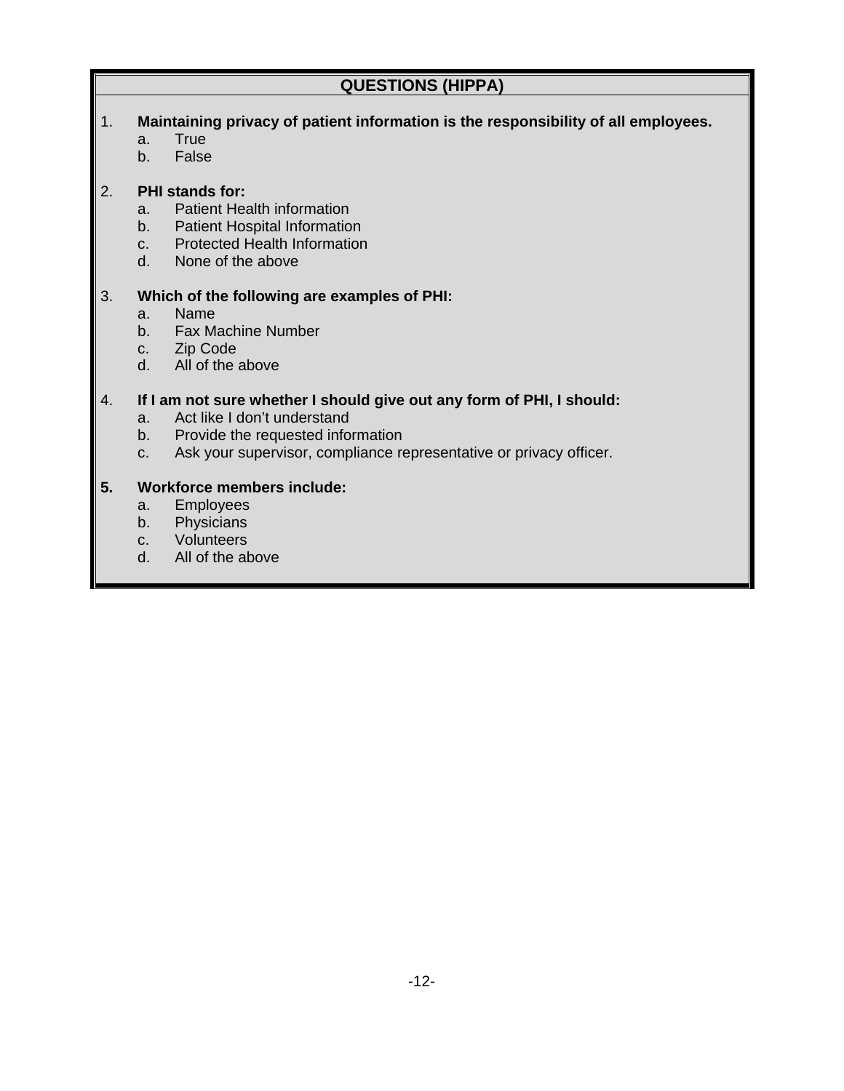## **QUESTIONS (HIPPA)**

- 1. **Maintaining privacy of patient information is the responsibility of all employees.** 
	- a. True
	- b. False

### 2. **PHI stands for:**

- a. Patient Health information
- b. Patient Hospital Information
- c. Protected Health Information
- d. None of the above

### 3. **Which of the following are examples of PHI:**

- a. Name
- b. Fax Machine Number
- c. Zip Code
- d. All of the above

### 4. **If I am not sure whether I should give out any form of PHI, I should:**

- a. Act like I don't understand
- b. Provide the requested information
- c. Ask your supervisor, compliance representative or privacy officer.

### **5. Workforce members include:**

- a. Employees
- b. Physicians
- c. Volunteers
- d. All of the above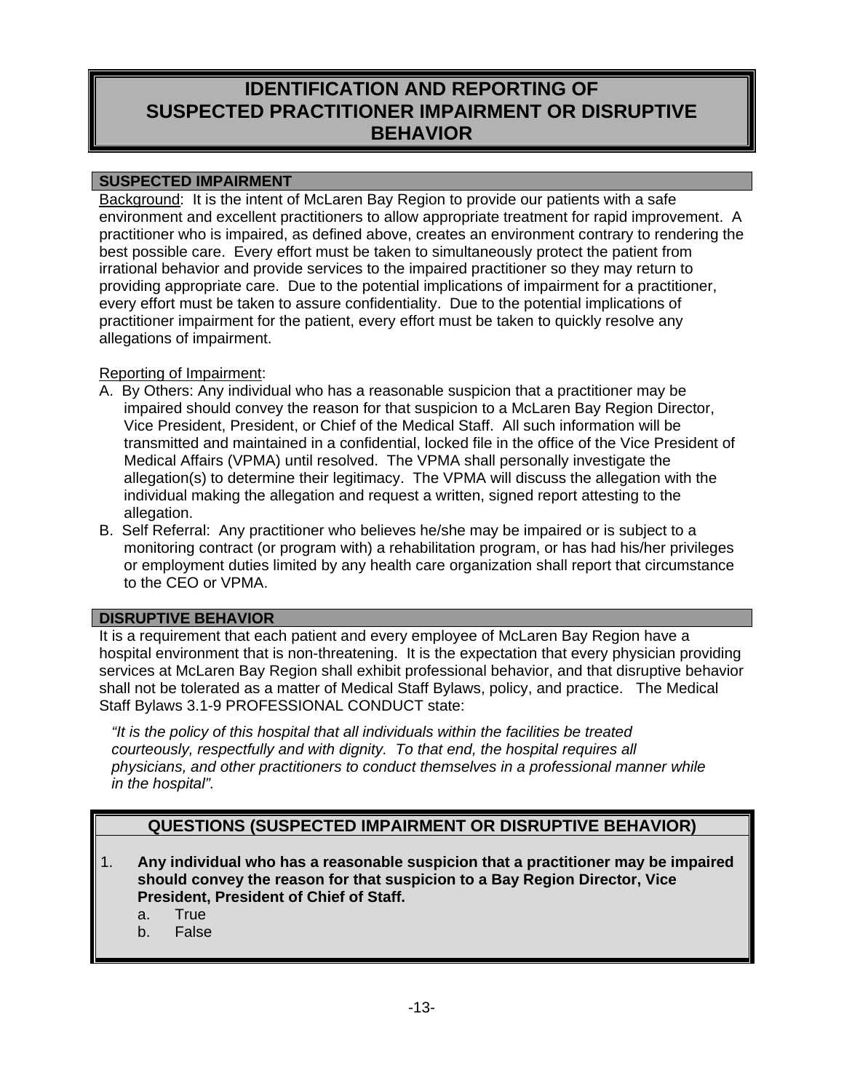## **IDENTIFICATION AND REPORTING OF SUSPECTED PRACTITIONER IMPAIRMENT OR DISRUPTIVE BEHAVIOR**

#### **SUSPECTED IMPAIRMENT**

Background: It is the intent of McLaren Bay Region to provide our patients with a safe environment and excellent practitioners to allow appropriate treatment for rapid improvement. A practitioner who is impaired, as defined above, creates an environment contrary to rendering the best possible care. Every effort must be taken to simultaneously protect the patient from irrational behavior and provide services to the impaired practitioner so they may return to providing appropriate care. Due to the potential implications of impairment for a practitioner, every effort must be taken to assure confidentiality. Due to the potential implications of practitioner impairment for the patient, every effort must be taken to quickly resolve any allegations of impairment.

### Reporting of Impairment:

- A. By Others: Any individual who has a reasonable suspicion that a practitioner may be impaired should convey the reason for that suspicion to a McLaren Bay Region Director, Vice President, President, or Chief of the Medical Staff. All such information will be transmitted and maintained in a confidential, locked file in the office of the Vice President of Medical Affairs (VPMA) until resolved. The VPMA shall personally investigate the allegation(s) to determine their legitimacy. The VPMA will discuss the allegation with the individual making the allegation and request a written, signed report attesting to the allegation.
- B. Self Referral: Any practitioner who believes he/she may be impaired or is subject to a monitoring contract (or program with) a rehabilitation program, or has had his/her privileges or employment duties limited by any health care organization shall report that circumstance to the CEO or VPMA.

### **DISRUPTIVE BEHAVIOR**

It is a requirement that each patient and every employee of McLaren Bay Region have a hospital environment that is non-threatening. It is the expectation that every physician providing services at McLaren Bay Region shall exhibit professional behavior, and that disruptive behavior shall not be tolerated as a matter of Medical Staff Bylaws, policy, and practice. The Medical Staff Bylaws 3.1-9 PROFESSIONAL CONDUCT state:

*"It is the policy of this hospital that all individuals within the facilities be treated courteously, respectfully and with dignity. To that end, the hospital requires all physicians, and other practitioners to conduct themselves in a professional manner while in the hospital".* 

## **QUESTIONS (SUSPECTED IMPAIRMENT OR DISRUPTIVE BEHAVIOR)**

- 1. **Any individual who has a reasonable suspicion that a practitioner may be impaired should convey the reason for that suspicion to a Bay Region Director, Vice President, President of Chief of Staff.** 
	- a. True
	- b. False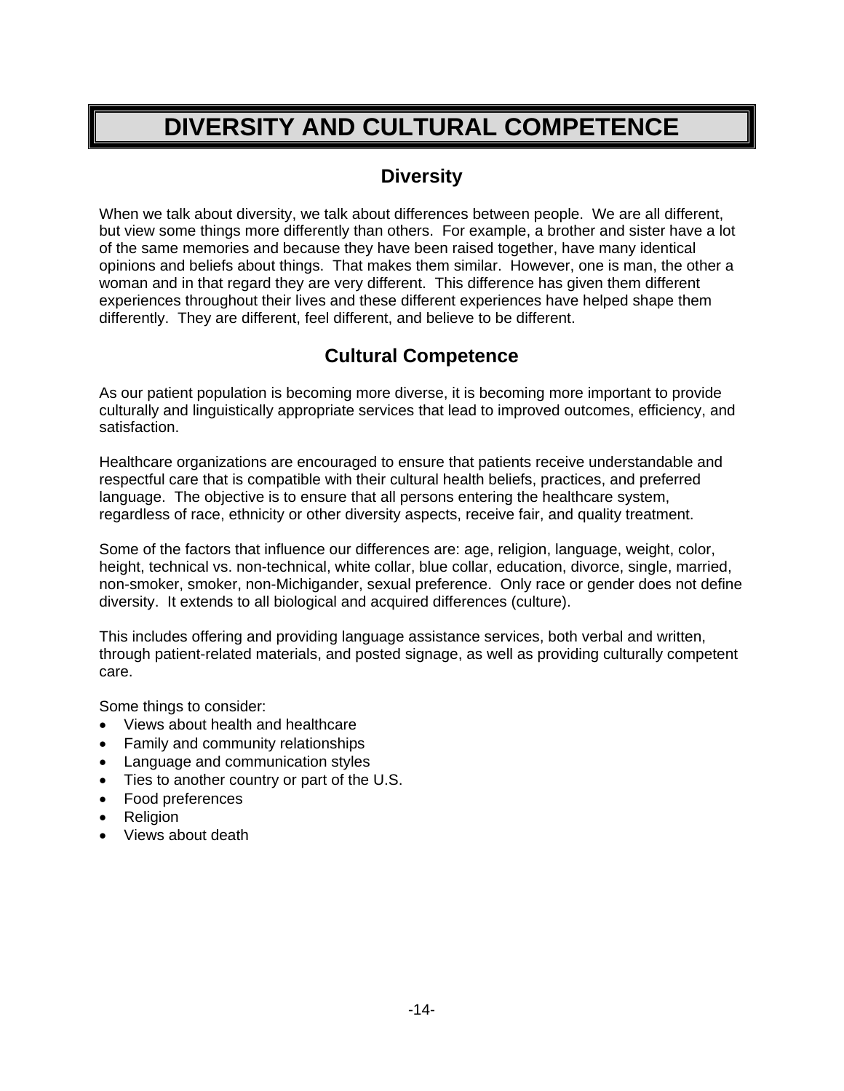## **DIVERSITY AND CULTURAL COMPETENCE**

## **Diversity**

When we talk about diversity, we talk about differences between people. We are all different, but view some things more differently than others. For example, a brother and sister have a lot of the same memories and because they have been raised together, have many identical opinions and beliefs about things. That makes them similar. However, one is man, the other a woman and in that regard they are very different. This difference has given them different experiences throughout their lives and these different experiences have helped shape them differently. They are different, feel different, and believe to be different.

## **Cultural Competence**

As our patient population is becoming more diverse, it is becoming more important to provide culturally and linguistically appropriate services that lead to improved outcomes, efficiency, and satisfaction.

Healthcare organizations are encouraged to ensure that patients receive understandable and respectful care that is compatible with their cultural health beliefs, practices, and preferred language. The objective is to ensure that all persons entering the healthcare system, regardless of race, ethnicity or other diversity aspects, receive fair, and quality treatment.

Some of the factors that influence our differences are: age, religion, language, weight, color, height, technical vs. non-technical, white collar, blue collar, education, divorce, single, married, non-smoker, smoker, non-Michigander, sexual preference. Only race or gender does not define diversity. It extends to all biological and acquired differences (culture).

This includes offering and providing language assistance services, both verbal and written, through patient-related materials, and posted signage, as well as providing culturally competent care.

Some things to consider:

- Views about health and healthcare
- Family and community relationships
- Language and communication styles
- Ties to another country or part of the U.S.
- Food preferences
- Religion
- Views about death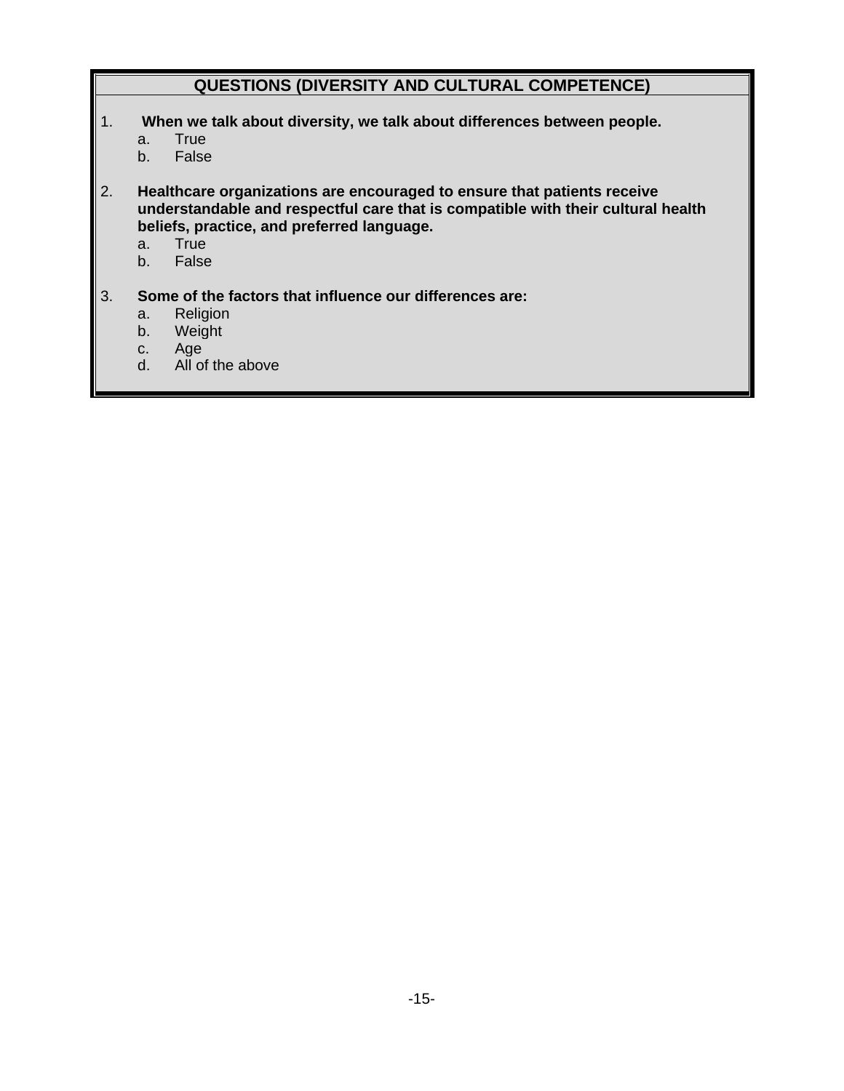## **QUESTIONS (DIVERSITY AND CULTURAL COMPETENCE)**

- 1. **When we talk about diversity, we talk about differences between people.** 
	- a. True
	- b. False
- 2. **Healthcare organizations are encouraged to ensure that patients receive understandable and respectful care that is compatible with their cultural health beliefs, practice, and preferred language.** 
	- a. True
	- b. False
- 3. **Some of the factors that influence our differences are:** 
	- a. Religion
	- b. Weight
	- c. Age
	- d. All of the above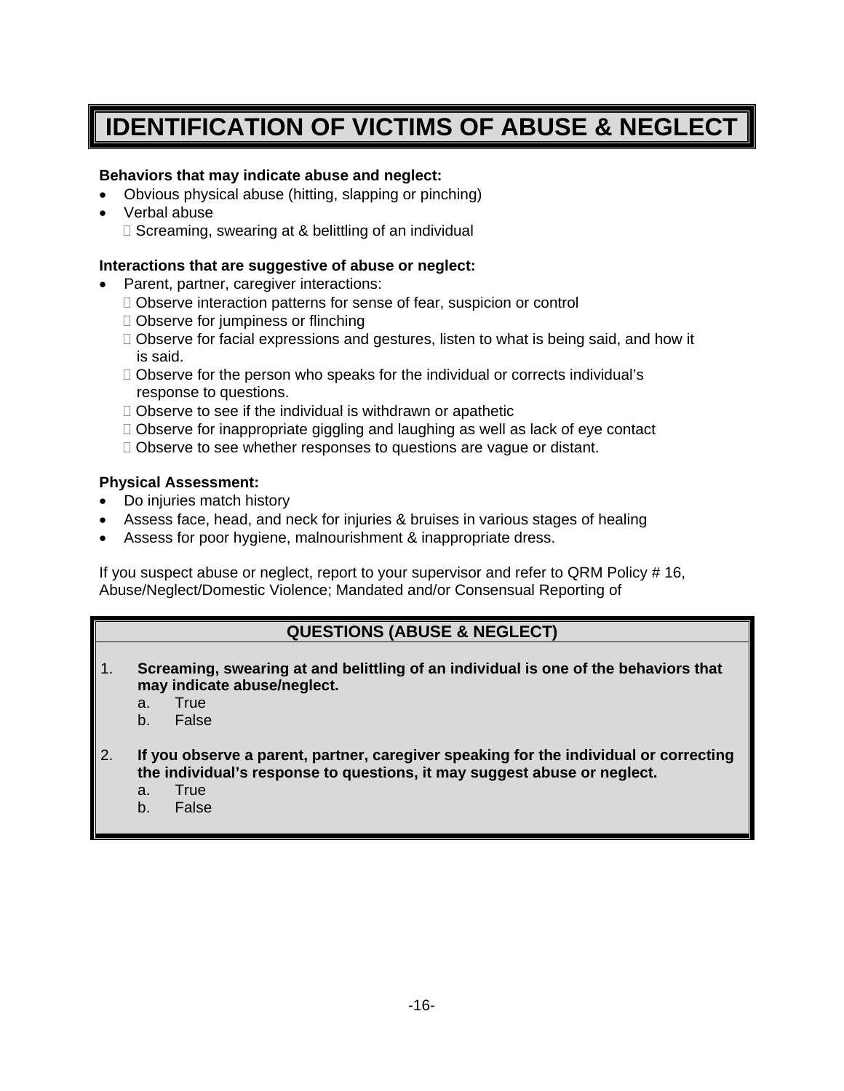## **IDENTIFICATION OF VICTIMS OF ABUSE & NEGLECT**

### **Behaviors that may indicate abuse and neglect:**

- Obvious physical abuse (hitting, slapping or pinching)
- Verbal abuse
	- $\Box$  Screaming, swearing at & belittling of an individual

#### **Interactions that are suggestive of abuse or neglect:**

- Parent, partner, caregiver interactions:
	- Observe interaction patterns for sense of fear, suspicion or control
	- □ Observe for jumpiness or flinching
	- Observe for facial expressions and gestures, listen to what is being said, and how it is said.
	- Observe for the person who speaks for the individual or corrects individual's response to questions.
	- $\Box$  Observe to see if the individual is withdrawn or apathetic
	- $\Box$  Observe for inappropriate giggling and laughing as well as lack of eye contact
	- Observe to see whether responses to questions are vague or distant.

#### **Physical Assessment:**

- Do injuries match history
- Assess face, head, and neck for injuries & bruises in various stages of healing
- Assess for poor hygiene, malnourishment & inappropriate dress.

If you suspect abuse or neglect, report to your supervisor and refer to QRM Policy # 16, Abuse/Neglect/Domestic Violence; Mandated and/or Consensual Reporting of

## **QUESTIONS (ABUSE & NEGLECT)**

- 1. **Screaming, swearing at and belittling of an individual is one of the behaviors that may indicate abuse/neglect.** 
	- a. True
	- b. False
- 2. **If you observe a parent, partner, caregiver speaking for the individual or correcting the individual's response to questions, it may suggest abuse or neglect.** 
	- a. True
	- b. False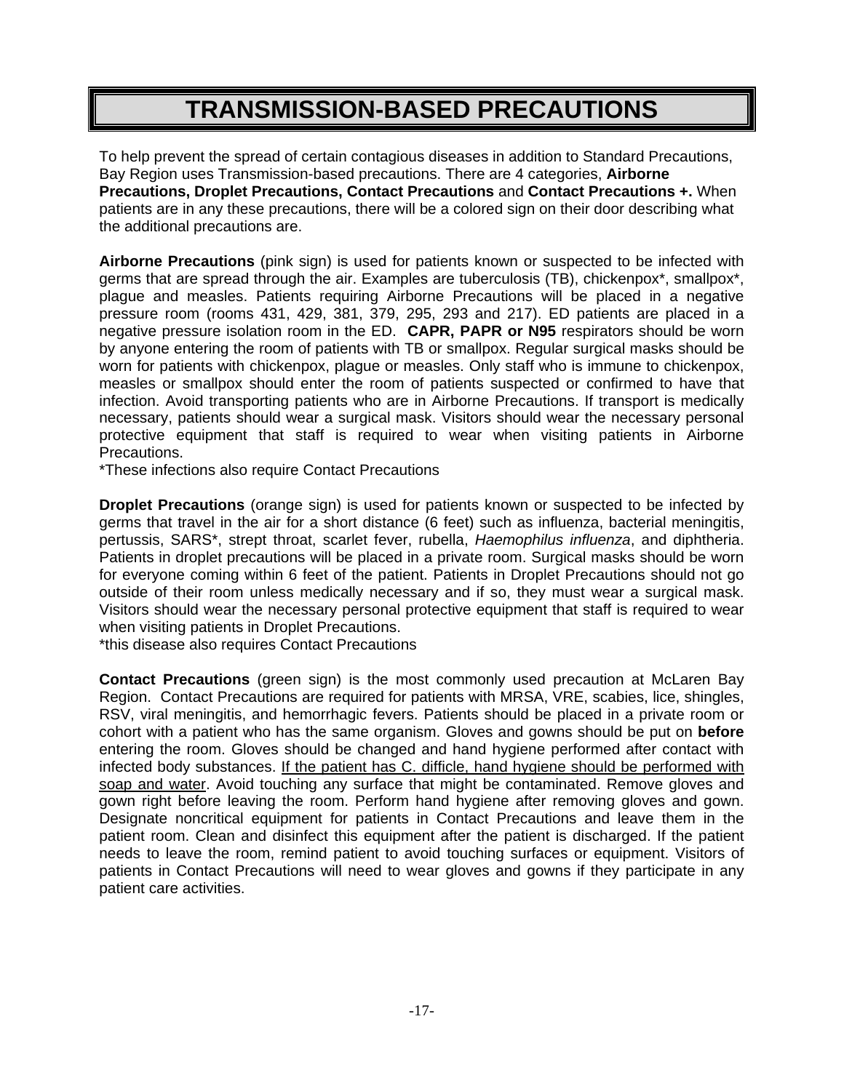## **TRANSMISSION-BASED PRECAUTIONS**

To help prevent the spread of certain contagious diseases in addition to Standard Precautions, Bay Region uses Transmission-based precautions. There are 4 categories, **Airborne Precautions, Droplet Precautions, Contact Precautions** and **Contact Precautions +.** When patients are in any these precautions, there will be a colored sign on their door describing what the additional precautions are.

**Airborne Precautions** (pink sign) is used for patients known or suspected to be infected with germs that are spread through the air. Examples are tuberculosis (TB), chickenpox\*, smallpox\*, plague and measles. Patients requiring Airborne Precautions will be placed in a negative pressure room (rooms 431, 429, 381, 379, 295, 293 and 217). ED patients are placed in a negative pressure isolation room in the ED. **CAPR, PAPR or N95** respirators should be worn by anyone entering the room of patients with TB or smallpox. Regular surgical masks should be worn for patients with chickenpox, plague or measles. Only staff who is immune to chickenpox, measles or smallpox should enter the room of patients suspected or confirmed to have that infection. Avoid transporting patients who are in Airborne Precautions. If transport is medically necessary, patients should wear a surgical mask. Visitors should wear the necessary personal protective equipment that staff is required to wear when visiting patients in Airborne Precautions.

\*These infections also require Contact Precautions

**Droplet Precautions** (orange sign) is used for patients known or suspected to be infected by germs that travel in the air for a short distance (6 feet) such as influenza, bacterial meningitis, pertussis, SARS\*, strept throat, scarlet fever, rubella, *Haemophilus influenza*, and diphtheria. Patients in droplet precautions will be placed in a private room. Surgical masks should be worn for everyone coming within 6 feet of the patient. Patients in Droplet Precautions should not go outside of their room unless medically necessary and if so, they must wear a surgical mask. Visitors should wear the necessary personal protective equipment that staff is required to wear when visiting patients in Droplet Precautions.

\*this disease also requires Contact Precautions

**Contact Precautions** (green sign) is the most commonly used precaution at McLaren Bay Region. Contact Precautions are required for patients with MRSA, VRE, scabies, lice, shingles, RSV, viral meningitis, and hemorrhagic fevers. Patients should be placed in a private room or cohort with a patient who has the same organism. Gloves and gowns should be put on **before** entering the room. Gloves should be changed and hand hygiene performed after contact with infected body substances. If the patient has C. difficle, hand hygiene should be performed with soap and water. Avoid touching any surface that might be contaminated. Remove gloves and gown right before leaving the room. Perform hand hygiene after removing gloves and gown. Designate noncritical equipment for patients in Contact Precautions and leave them in the patient room. Clean and disinfect this equipment after the patient is discharged. If the patient needs to leave the room, remind patient to avoid touching surfaces or equipment. Visitors of patients in Contact Precautions will need to wear gloves and gowns if they participate in any patient care activities.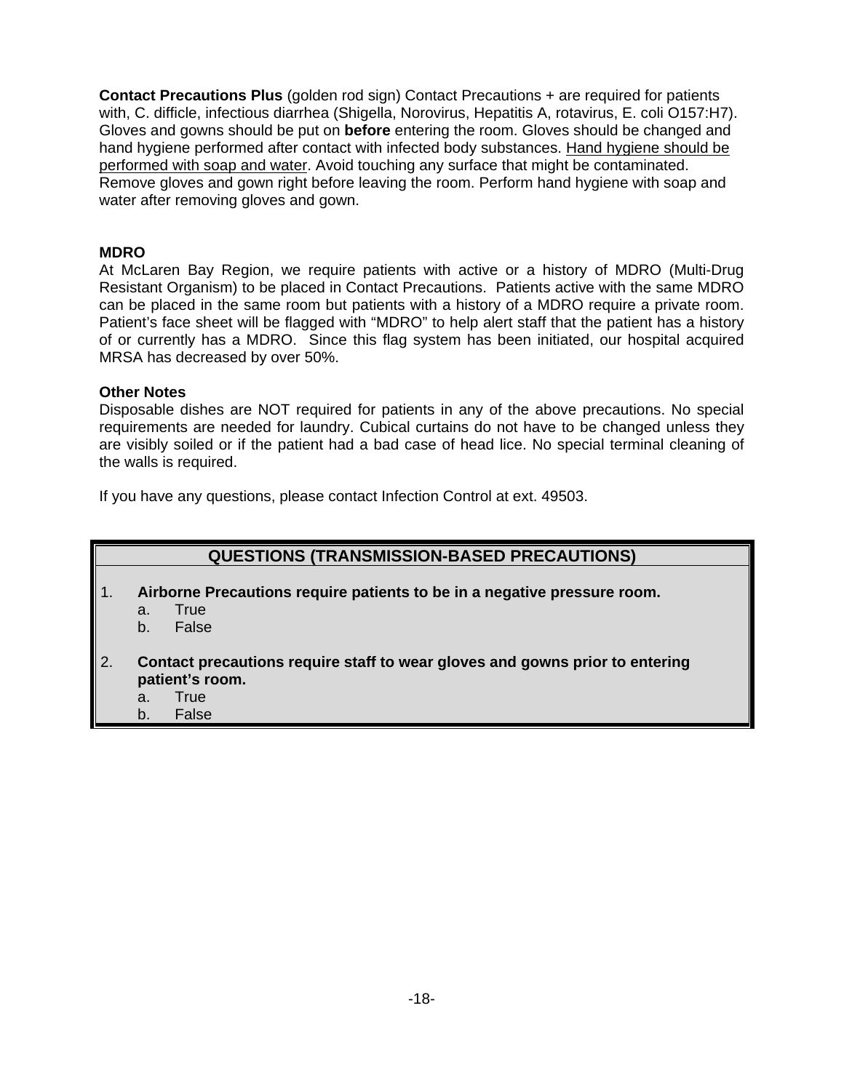**Contact Precautions Plus** (golden rod sign) Contact Precautions + are required for patients with, C. difficle, infectious diarrhea (Shigella, Norovirus, Hepatitis A, rotavirus, E. coli O157:H7). Gloves and gowns should be put on **before** entering the room. Gloves should be changed and hand hygiene performed after contact with infected body substances. Hand hygiene should be performed with soap and water. Avoid touching any surface that might be contaminated. Remove gloves and gown right before leaving the room. Perform hand hygiene with soap and water after removing gloves and gown.

#### **MDRO**

At McLaren Bay Region, we require patients with active or a history of MDRO (Multi-Drug Resistant Organism) to be placed in Contact Precautions. Patients active with the same MDRO can be placed in the same room but patients with a history of a MDRO require a private room. Patient's face sheet will be flagged with "MDRO" to help alert staff that the patient has a history of or currently has a MDRO. Since this flag system has been initiated, our hospital acquired MRSA has decreased by over 50%.

#### **Other Notes**

Disposable dishes are NOT required for patients in any of the above precautions. No special requirements are needed for laundry. Cubical curtains do not have to be changed unless they are visibly soiled or if the patient had a bad case of head lice. No special terminal cleaning of the walls is required.

If you have any questions, please contact Infection Control at ext. 49503.

### **QUESTIONS (TRANSMISSION-BASED PRECAUTIONS)**

- 1. **Airborne Precautions require patients to be in a negative pressure room.** 
	- a. True
	- b. False
- 2. **Contact precautions require staff to wear gloves and gowns prior to entering patient's room.** 
	- a. True
	- b. False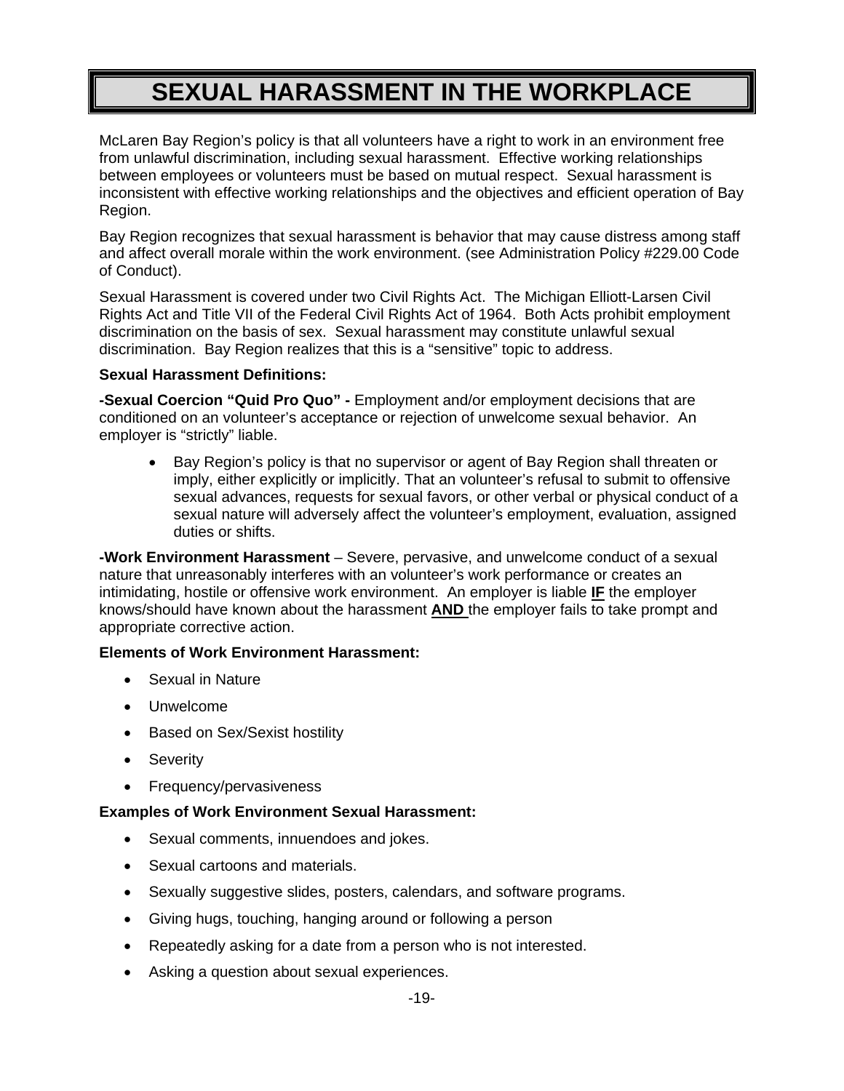## **SEXUAL HARASSMENT IN THE WORKPLACE**

McLaren Bay Region's policy is that all volunteers have a right to work in an environment free from unlawful discrimination, including sexual harassment. Effective working relationships between employees or volunteers must be based on mutual respect. Sexual harassment is inconsistent with effective working relationships and the objectives and efficient operation of Bay Region.

Bay Region recognizes that sexual harassment is behavior that may cause distress among staff and affect overall morale within the work environment. (see Administration Policy #229.00 Code of Conduct).

Sexual Harassment is covered under two Civil Rights Act. The Michigan Elliott-Larsen Civil Rights Act and Title VII of the Federal Civil Rights Act of 1964. Both Acts prohibit employment discrimination on the basis of sex. Sexual harassment may constitute unlawful sexual discrimination. Bay Region realizes that this is a "sensitive" topic to address.

#### **Sexual Harassment Definitions:**

**-Sexual Coercion "Quid Pro Quo" -** Employment and/or employment decisions that are conditioned on an volunteer's acceptance or rejection of unwelcome sexual behavior. An employer is "strictly" liable.

• Bay Region's policy is that no supervisor or agent of Bay Region shall threaten or imply, either explicitly or implicitly. That an volunteer's refusal to submit to offensive sexual advances, requests for sexual favors, or other verbal or physical conduct of a sexual nature will adversely affect the volunteer's employment, evaluation, assigned duties or shifts.

**-Work Environment Harassment** – Severe, pervasive, and unwelcome conduct of a sexual nature that unreasonably interferes with an volunteer's work performance or creates an intimidating, hostile or offensive work environment. An employer is liable **IF** the employer knows/should have known about the harassment **AND** the employer fails to take prompt and appropriate corrective action.

#### **Elements of Work Environment Harassment:**

- Sexual in Nature
- Unwelcome
- Based on Sex/Sexist hostility
- Severity
- Frequency/pervasiveness

#### **Examples of Work Environment Sexual Harassment:**

- Sexual comments, innuendoes and jokes.
- Sexual cartoons and materials.
- Sexually suggestive slides, posters, calendars, and software programs.
- Giving hugs, touching, hanging around or following a person
- Repeatedly asking for a date from a person who is not interested.
- Asking a question about sexual experiences.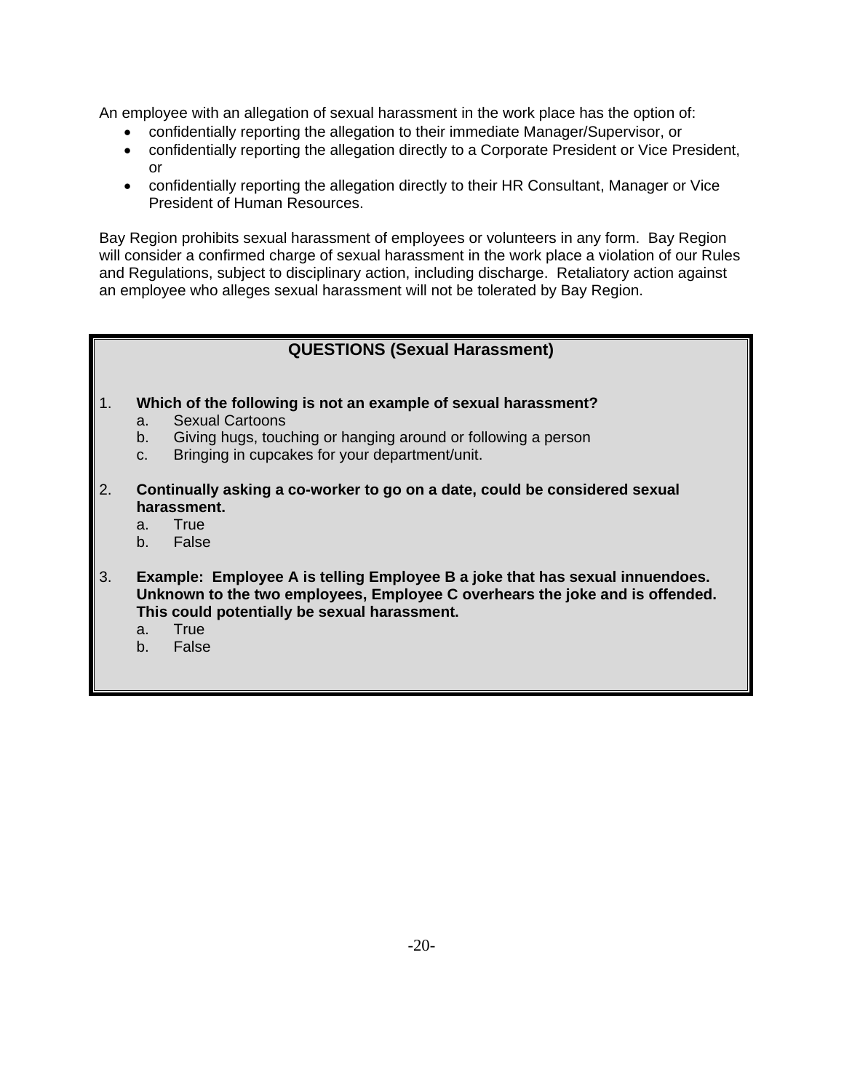An employee with an allegation of sexual harassment in the work place has the option of:

- confidentially reporting the allegation to their immediate Manager/Supervisor, or
- confidentially reporting the allegation directly to a Corporate President or Vice President, or
- confidentially reporting the allegation directly to their HR Consultant, Manager or Vice President of Human Resources.

Bay Region prohibits sexual harassment of employees or volunteers in any form. Bay Region will consider a confirmed charge of sexual harassment in the work place a violation of our Rules and Regulations, subject to disciplinary action, including discharge. Retaliatory action against an employee who alleges sexual harassment will not be tolerated by Bay Region.

### **QUESTIONS (Sexual Harassment)**

#### 1. **Which of the following is not an example of sexual harassment?**

- a. Sexual Cartoons
- b. Giving hugs, touching or hanging around or following a person
- c. Bringing in cupcakes for your department/unit.
- 2. **Continually asking a co-worker to go on a date, could be considered sexual harassment.** 
	- a. True
	- b. False
- 3. **Example: Employee A is telling Employee B a joke that has sexual innuendoes. Unknown to the two employees, Employee C overhears the joke and is offended. This could potentially be sexual harassment.** 
	- a. True
	- b. False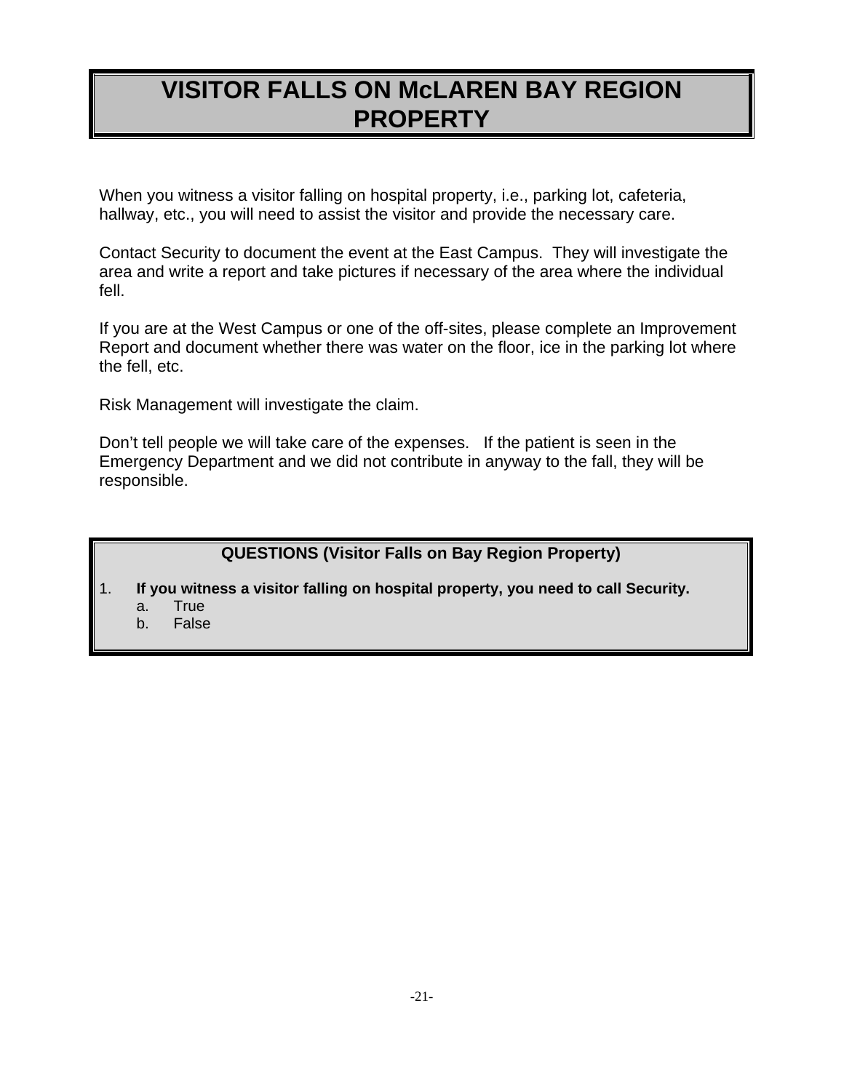## **VISITOR FALLS ON McLAREN BAY REGION PROPERTY**

When you witness a visitor falling on hospital property, i.e., parking lot, cafeteria, hallway, etc., you will need to assist the visitor and provide the necessary care.

Contact Security to document the event at the East Campus. They will investigate the area and write a report and take pictures if necessary of the area where the individual fell.

If you are at the West Campus or one of the off-sites, please complete an Improvement Report and document whether there was water on the floor, ice in the parking lot where the fell, etc.

Risk Management will investigate the claim.

Don't tell people we will take care of the expenses. If the patient is seen in the Emergency Department and we did not contribute in anyway to the fall, they will be responsible.

**QUESTIONS (Visitor Falls on Bay Region Property)**

1. **If you witness a visitor falling on hospital property, you need to call Security.** 

- a. True
- b. False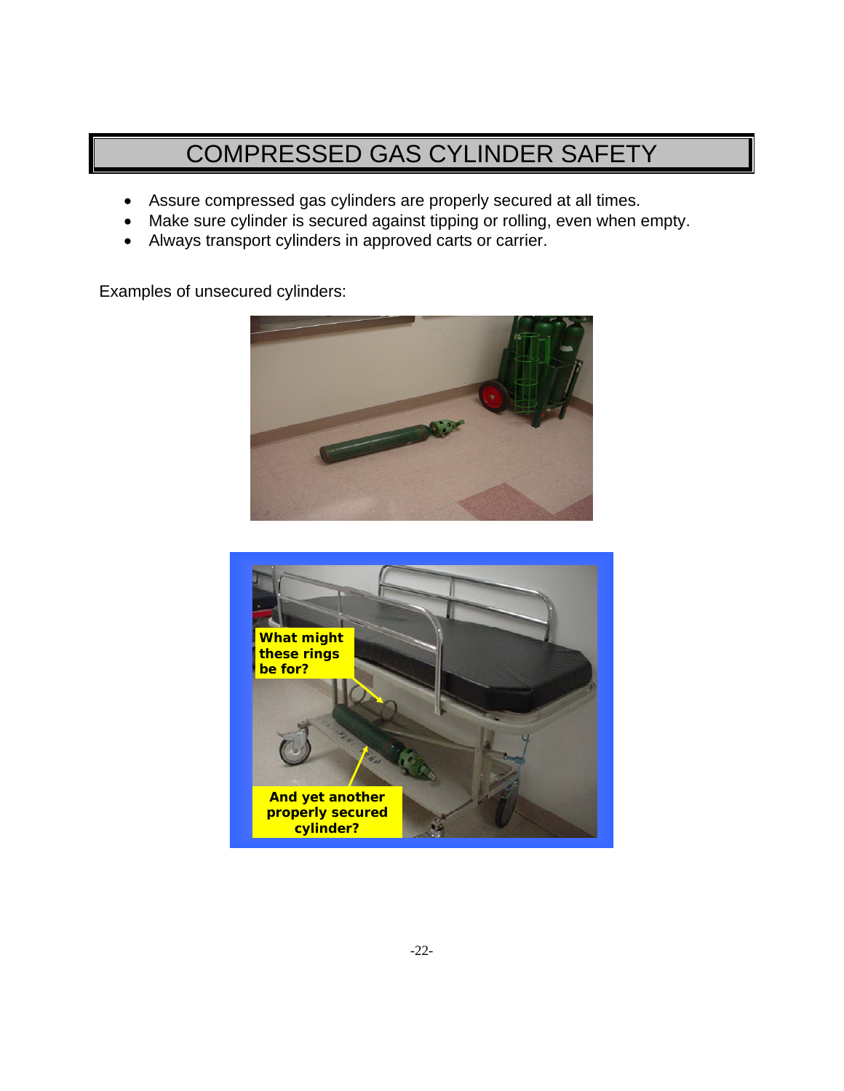## COMPRESSED GAS CYLINDER SAFETY

- Assure compressed gas cylinders are properly secured at all times.
- Make sure cylinder is secured against tipping or rolling, even when empty.
- Always transport cylinders in approved carts or carrier.

Examples of unsecured cylinders: